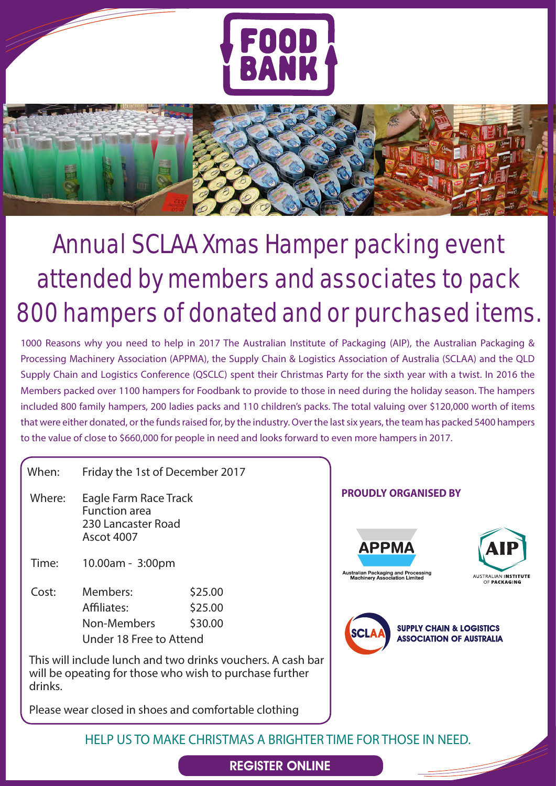



## Annual SCLAA Xmas Hamper packing event attended by members and associates to pack 800 hampers of donated and or purchased items.

1000 Reasons why you need to help in 2017 The Australian Institute of Packaging (AIP), the Australian Packaging & Processing Machinery Association (APPMA), the Supply Chain & Logistics Association of Australia (SCLAA) and the QLD Supply Chain and Logistics Conference (QSCLC) spent their Christmas Party for the sixth year with a twist. In 2016 the Members packed over 1100 hampers for Foodbank to provide to those in need during the holiday season. The hampers included 800 family hampers, 200 ladies packs and 110 children's packs. The total valuing over \$120,000 worth of items that were either donated, or the funds raised for, by the industry. Over the last six years, the team has packed 5400 hampers to the value of close to \$660,000 for people in need and looks forward to even more hampers in 2017.

When: Friday the 1st of December 2017

- Where: Eagle Farm Race Track Function area 230 Lancaster Road Ascot 4007
- Time: 10.00am 3:00pm

Cost: Members: \$25.00 Affiliates: \$25.00 Non-Members \$30.00 Under 18 Free to Attend

This will include lunch and two drinks vouchers. A cash bar will be opeating for those who wish to purchase further drinks.

Please wear closed in shoes and comfortable clothing

## **PROUDLY ORGANISED BY**



**SCI** 



**SUPPLY CHAIN & LOGISTICS ASSOCIATION OF AUSTRALIA** 

HELP US TO MAKE CHRISTMAS A BRIGHTER TIME FOR THOSE IN NEED.

## [REGISTER ONLINE](https://scalaoal.wildapricot.org/widget/event-2249560)